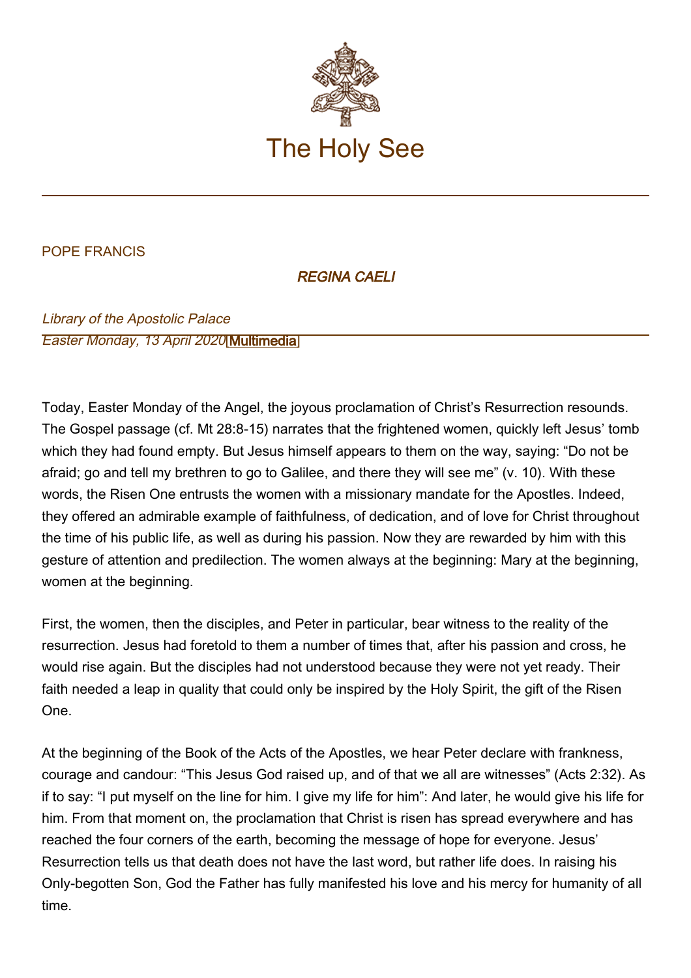

## POPE FRANCIS

## REGINA CAELI

Library of the Apostolic Palace Easter Monday, 13 April 2020[\[Multimedia](http://w2.vatican.va/content/francesco/en/events/event.dir.html/content/vaticanevents/en/2020/4/13/regina-coeli.html)]

Today, Easter Monday of the Angel, the joyous proclamation of Christ's Resurrection resounds. The Gospel passage (cf. Mt 28:8-15) narrates that the frightened women, quickly left Jesus' tomb which they had found empty. But Jesus himself appears to them on the way, saying: "Do not be afraid; go and tell my brethren to go to Galilee, and there they will see me" (v. 10). With these words, the Risen One entrusts the women with a missionary mandate for the Apostles. Indeed, they offered an admirable example of faithfulness, of dedication, and of love for Christ throughout the time of his public life, as well as during his passion. Now they are rewarded by him with this gesture of attention and predilection. The women always at the beginning: Mary at the beginning, women at the beginning.

First, the women, then the disciples, and Peter in particular, bear witness to the reality of the resurrection. Jesus had foretold to them a number of times that, after his passion and cross, he would rise again. But the disciples had not understood because they were not yet ready. Their faith needed a leap in quality that could only be inspired by the Holy Spirit, the gift of the Risen One.

At the beginning of the Book of the Acts of the Apostles, we hear Peter declare with frankness, courage and candour: "This Jesus God raised up, and of that we all are witnesses" (Acts 2:32). As if to say: "I put myself on the line for him. I give my life for him": And later, he would give his life for him. From that moment on, the proclamation that Christ is risen has spread everywhere and has reached the four corners of the earth, becoming the message of hope for everyone. Jesus' Resurrection tells us that death does not have the last word, but rather life does. In raising his Only-begotten Son, God the Father has fully manifested his love and his mercy for humanity of all time.